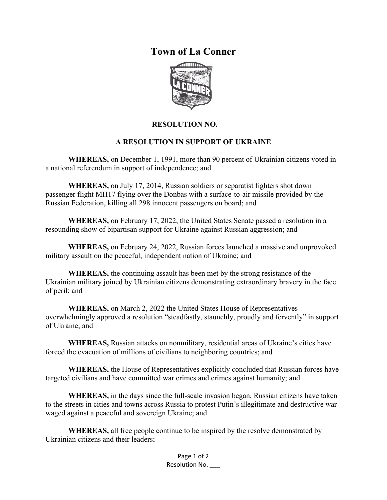## **Town of La Conner**



## **RESOLUTION NO. \_\_\_\_**

## **A RESOLUTION IN SUPPORT OF UKRAINE**

**WHEREAS,** on December 1, 1991, more than 90 percent of Ukrainian citizens voted in a national referendum in support of independence; and

**WHEREAS,** on July 17, 2014, Russian soldiers or separatist fighters shot down passenger flight MH17 flying over the Donbas with a surface-to-air missile provided by the Russian Federation, killing all 298 innocent passengers on board; and

**WHEREAS,** on February 17, 2022, the United States Senate passed a resolution in a resounding show of bipartisan support for Ukraine against Russian aggression; and

**WHEREAS,** on February 24, 2022, Russian forces launched a massive and unprovoked military assault on the peaceful, independent nation of Ukraine; and

**WHEREAS,** the continuing assault has been met by the strong resistance of the Ukrainian military joined by Ukrainian citizens demonstrating extraordinary bravery in the face of peril; and

**WHEREAS,** on March 2, 2022 the United States House of Representatives overwhelmingly approved a resolution "steadfastly, staunchly, proudly and fervently" in support of Ukraine; and

**WHEREAS,** Russian attacks on nonmilitary, residential areas of Ukraine's cities have forced the evacuation of millions of civilians to neighboring countries; and

**WHEREAS,** the House of Representatives explicitly concluded that Russian forces have targeted civilians and have committed war crimes and crimes against humanity; and

**WHEREAS,** in the days since the full-scale invasion began, Russian citizens have taken to the streets in cities and towns across Russia to protest Putin's illegitimate and destructive war waged against a peaceful and sovereign Ukraine; and

**WHEREAS,** all free people continue to be inspired by the resolve demonstrated by Ukrainian citizens and their leaders;

> Page 1 of 2 Resolution No. \_\_\_